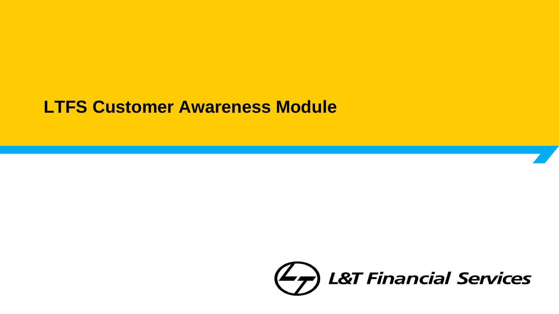### **LTFS Customer Awareness Module**

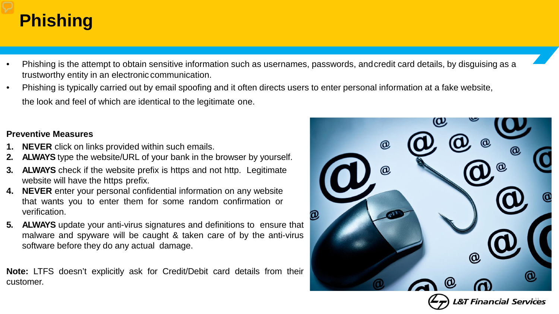# **Phishing**

- Phishing is the attempt to obtain sensitive information such as usernames, passwords, andcredit card details, by disguising as a trustworthy entity in an electronic communication.
- Phishing is typically carried out by email spoofing and it often directs users to enter personal information at a fake website, the look and feel of which are identical to the legitimate one.

#### **Preventive Measures**

- **1. NEVER** click on links provided within such emails.
- **2. ALWAYS** type the website/URL of your bank in the browser by yourself.
- **ALWAYS** check if the website prefix is https and not http. Legitimate website will have the https prefix.
- **4. NEVER** enter your personal confidential information on any website that wants you to enter them for some random confirmation or verification.
- **5. ALWAYS** update your anti-virus signatures and definitions to ensure that malware and spyware will be caught & taken care of by the anti-virus software before they do any actual damage.

**Note:** LTFS doesn't explicitly ask for Credit/Debit card details from their customer.